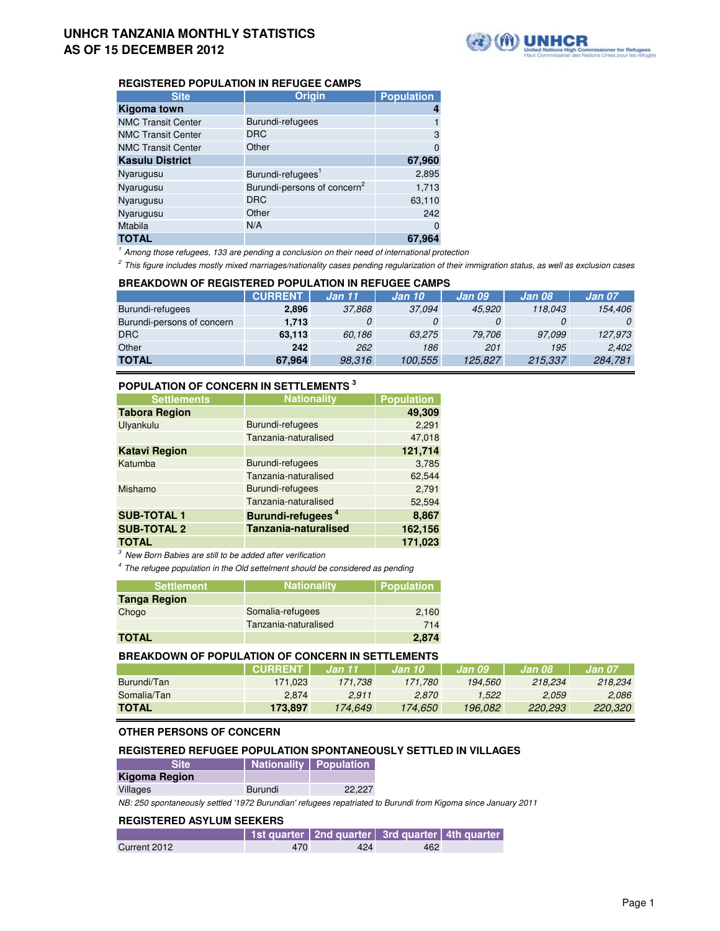

# **REGISTERED POPULATION IN REFUGEE CAMPS**

| <b>Site</b>               | <b>Origin</b>                           | <b>Population</b> |
|---------------------------|-----------------------------------------|-------------------|
| Kigoma town               |                                         | 4                 |
| <b>NMC Transit Center</b> | Burundi-refugees                        |                   |
| <b>NMC Transit Center</b> | <b>DRC</b>                              | 3                 |
| <b>NMC Transit Center</b> | Other                                   | $\Omega$          |
| <b>Kasulu District</b>    |                                         | 67,960            |
| Nyarugusu                 | Burundi-refugees <sup>1</sup>           | 2,895             |
| Nyarugusu                 | Burundi-persons of concern <sup>2</sup> | 1,713             |
| Nyarugusu                 | <b>DRC</b>                              | 63,110            |
| Nyarugusu                 | Other                                   | 242               |
| <b>Mtabila</b>            | N/A                                     | $\Omega$          |
| <b>TOTAL</b>              |                                         | 67,964            |

 $1$  Among those refugees, 133 are pending a conclusion on their need of international protection

 $2$  This figure includes mostly mixed marriages/nationality cases pending regularization of their immigration status, as well as exclusion cases

## **CURRENT Jan 11 Jan 10 Jan 09 Jan 08 Jan 07** Burundi-refugees **2,896** 37,868 37,094 45,920 118,043 154,406 Burundi-persons of concern **1,713** 0 0 0 0 0 0 0 DRC **63,113** 60,186 63,275 79,706 97,099 127,973 Other **242** 262 186 201 195 2,402 **TOTAL 67,964** 98,316 100,555 125,827 215,337 284,781 **BREAKDOWN OF REGISTERED POPULATION IN REFUGEE CAMPS**

# **POPULATION OF CONCERN IN SETTLEMENTS <sup>3</sup>**

| <b>Settlements</b>   | <b>Nationality</b>            | <b>Population</b> |
|----------------------|-------------------------------|-------------------|
| <b>Tabora Region</b> |                               | 49,309            |
| Ulyankulu            | Burundi-refugees              | 2,291             |
|                      | Tanzania-naturalised          | 47,018            |
| <b>Katavi Region</b> |                               | 121,714           |
| Katumba              | Burundi-refugees              | 3,785             |
|                      | Tanzania-naturalised          | 62,544            |
| Mishamo              | Burundi-refugees              | 2,791             |
|                      | Tanzania-naturalised          | 52,594            |
| <b>SUB-TOTAL 1</b>   | Burundi-refugees <sup>4</sup> | 8,867             |
| <b>SUB-TOTAL 2</b>   | Tanzania-naturalised          | 162,156           |
| <b>TOTAL</b>         |                               | 171,023           |

 $3$  New Born Babies are still to be added after verification

 $4$  The refugee population in the Old settelment should be considered as pending

| <b>Settlement</b>   | <b>Nationality</b>   | <b>Population</b> |
|---------------------|----------------------|-------------------|
| <b>Tanga Region</b> |                      |                   |
| Chogo               | Somalia-refugees     | 2,160             |
|                     | Tanzania-naturalised | 714               |
| <b>TOTAL</b>        |                      | 2.874             |

### **BREAKDOWN OF POPULATION OF CONCERN IN SETTLEMENTS**

|              | <b>CURRENT</b> | Jan 11  | Jan 10  | Jan 09  | Jan 08  | Jan 07.        |
|--------------|----------------|---------|---------|---------|---------|----------------|
| Burundi/Tan  | 171.023        | 171.738 | 171.780 | 194.560 | 218.234 | 218.234        |
| Somalia/Tan  | 2.874          | 2.911   | 2.870   | 1.522   | 2.059   | 2.086          |
| <b>TOTAL</b> | 173.897        | 174.649 | 174.650 | 196.082 | 220.293 | <i>220.320</i> |

### **OTHER PERSONS OF CONCERN**

## **REGISTERED REFUGEE POPULATION SPONTANEOUSLY SETTLED IN VILLAGES**

| <b>Site</b>   | <b>Nationality Population</b> |        |
|---------------|-------------------------------|--------|
| Kigoma Region |                               |        |
| Villages      | Burundi                       | 22.227 |

NB: 250 spontaneously settled '1972 Burundian' refugees repatriated to Burundi from Kigoma since January 2011

### **REGISTERED ASYLUM SEEKERS**

|              |     | 1st quarter   2nd quarter   3rd quarter   4th quarter |     |  |
|--------------|-----|-------------------------------------------------------|-----|--|
| Current 2012 | 470 | 424                                                   | 462 |  |